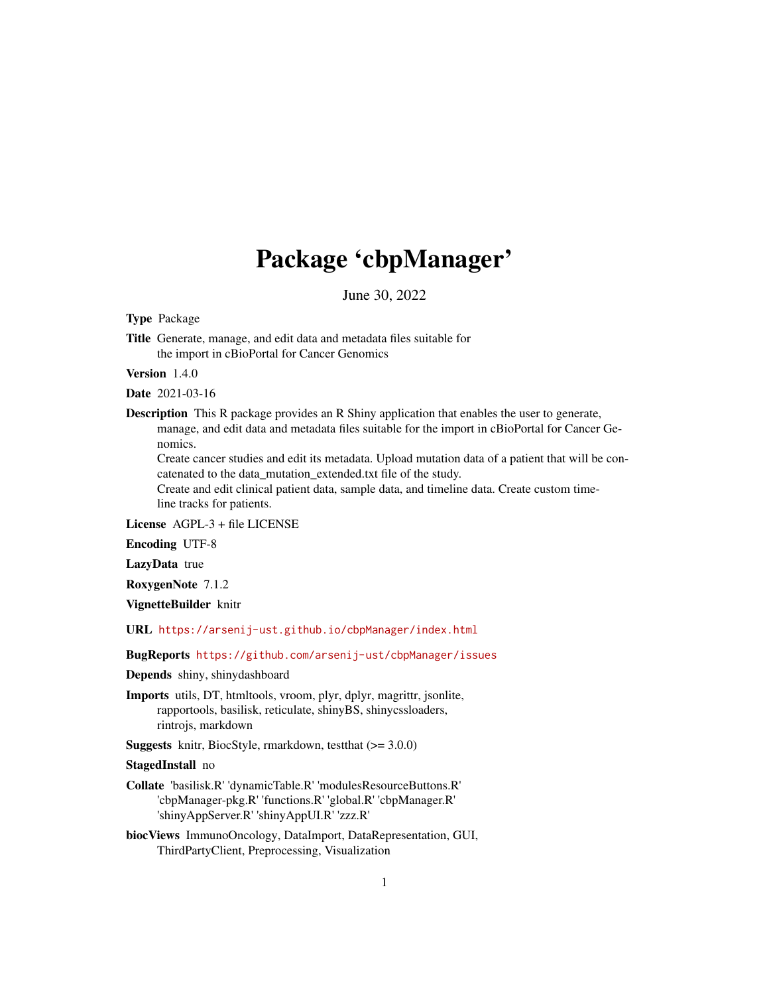# Package 'cbpManager'

June 30, 2022

Type Package

Title Generate, manage, and edit data and metadata files suitable for the import in cBioPortal for Cancer Genomics

Version 1.4.0

Date 2021-03-16

Description This R package provides an R Shiny application that enables the user to generate, manage, and edit data and metadata files suitable for the import in cBioPortal for Cancer Genomics.

Create cancer studies and edit its metadata. Upload mutation data of a patient that will be concatenated to the data\_mutation\_extended.txt file of the study.

Create and edit clinical patient data, sample data, and timeline data. Create custom timeline tracks for patients.

License AGPL-3 + file LICENSE

Encoding UTF-8

LazyData true

RoxygenNote 7.1.2

VignetteBuilder knitr

URL <https://arsenij-ust.github.io/cbpManager/index.html>

BugReports <https://github.com/arsenij-ust/cbpManager/issues>

Depends shiny, shinydashboard

Imports utils, DT, htmltools, vroom, plyr, dplyr, magrittr, jsonlite, rapportools, basilisk, reticulate, shinyBS, shinycssloaders, rintrojs, markdown

**Suggests** knitr, BiocStyle, rmarkdown, test that  $(>= 3.0.0)$ 

StagedInstall no

- Collate 'basilisk.R' 'dynamicTable.R' 'modulesResourceButtons.R' 'cbpManager-pkg.R' 'functions.R' 'global.R' 'cbpManager.R' 'shinyAppServer.R' 'shinyAppUI.R' 'zzz.R'
- biocViews ImmunoOncology, DataImport, DataRepresentation, GUI, ThirdPartyClient, Preprocessing, Visualization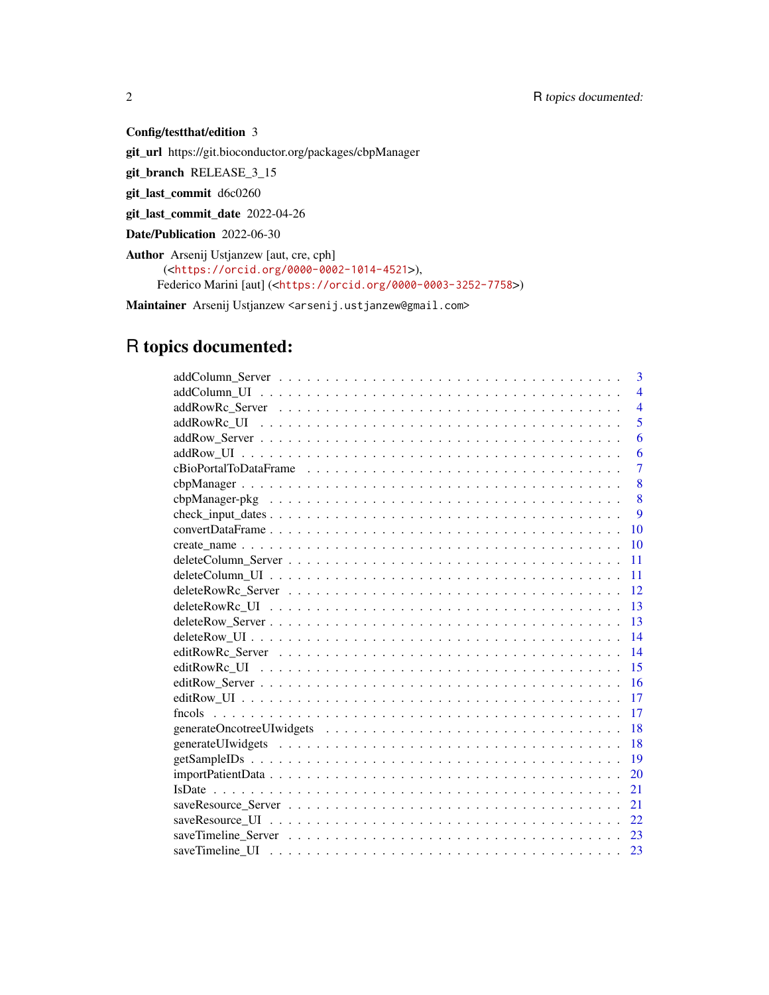# Config/testthat/edition 3

git\_url https://git.bioconductor.org/packages/cbpManager

git\_branch RELEASE\_3\_15 git\_last\_commit d6c0260

git\_last\_commit\_date 2022-04-26

Date/Publication 2022-06-30

Author Arsenij Ustjanzew [aut, cre, cph] (<<https://orcid.org/0000-0002-1014-4521>>), Federico Marini [aut] (<<https://orcid.org/0000-0003-3252-7758>>)

Maintainer Arsenij Ustjanzew <arsenij.ustjanzew@gmail.com>

# R topics documented: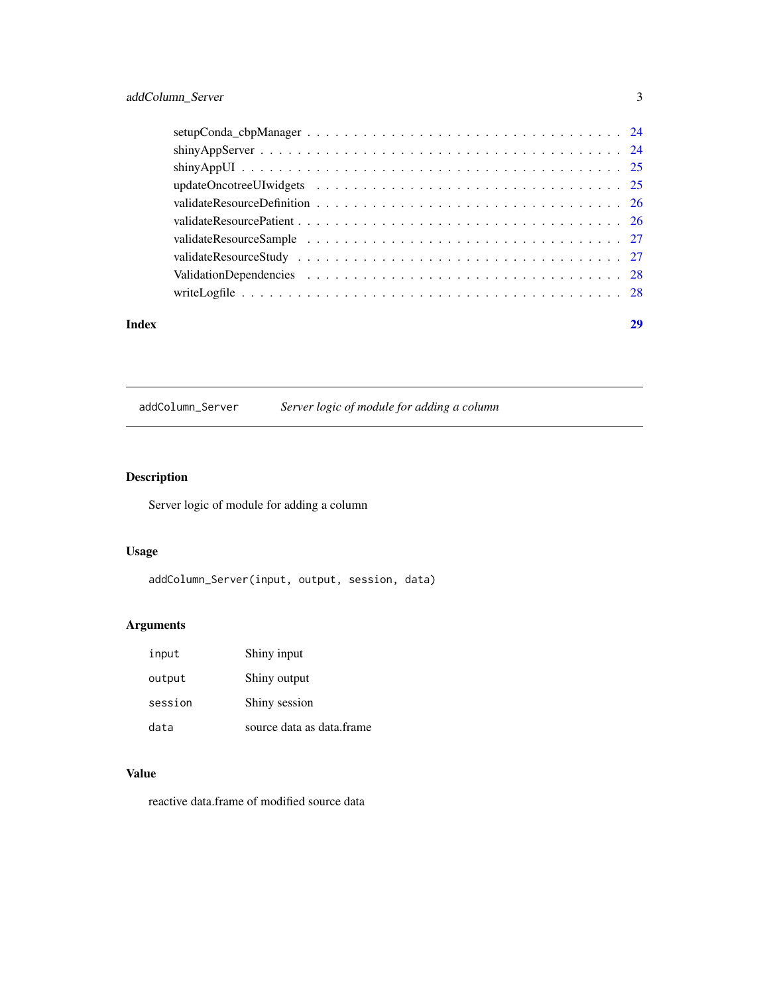<span id="page-2-0"></span>

| Index | 29 |
|-------|----|
|       |    |
|       |    |
|       |    |
|       |    |
|       |    |
|       |    |
|       |    |
|       |    |
|       |    |
|       |    |

addColumn\_Server *Server logic of module for adding a column*

# Description

Server logic of module for adding a column

## Usage

addColumn\_Server(input, output, session, data)

## Arguments

| input   | Shiny input               |
|---------|---------------------------|
| output  | Shiny output              |
| session | Shiny session             |
| data    | source data as data.frame |

#### Value

reactive data.frame of modified source data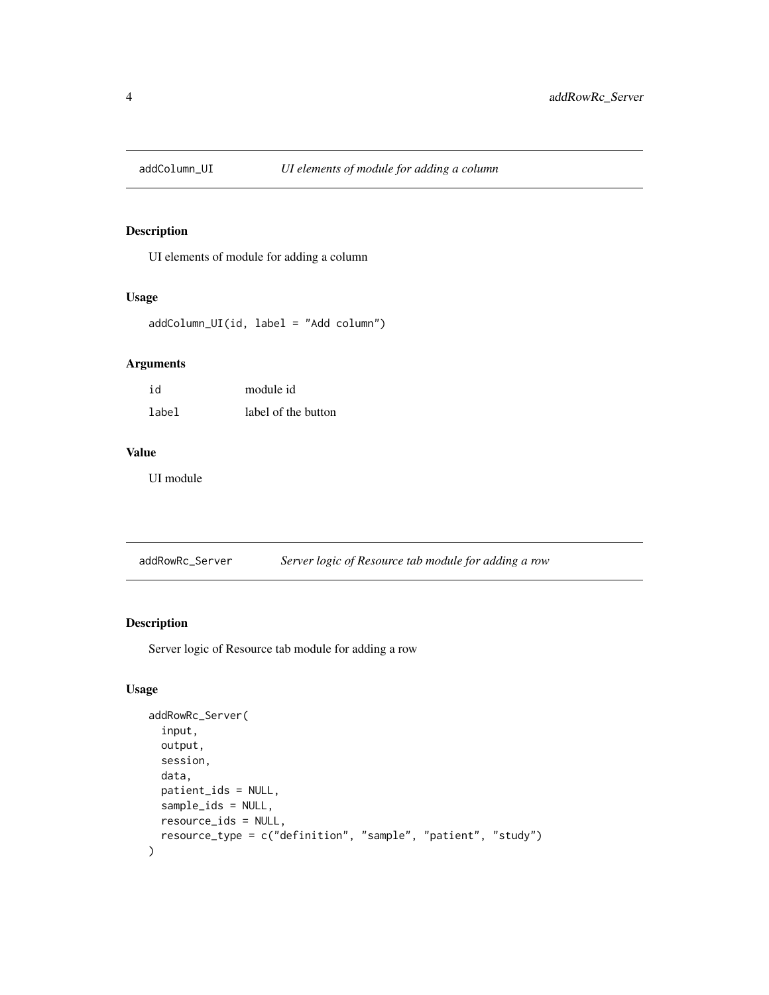<span id="page-3-0"></span>

UI elements of module for adding a column

#### Usage

addColumn\_UI(id, label = "Add column")

#### Arguments

| id    | module id           |
|-------|---------------------|
| label | label of the button |

#### Value

UI module

addRowRc\_Server *Server logic of Resource tab module for adding a row*

#### Description

Server logic of Resource tab module for adding a row

#### Usage

```
addRowRc_Server(
  input,
  output,
  session,
  data,
 patient_ids = NULL,
  sample_ids = NULL,
 resource_ids = NULL,
  resource_type = c("definition", "sample", "patient", "study")
\mathcal{E}
```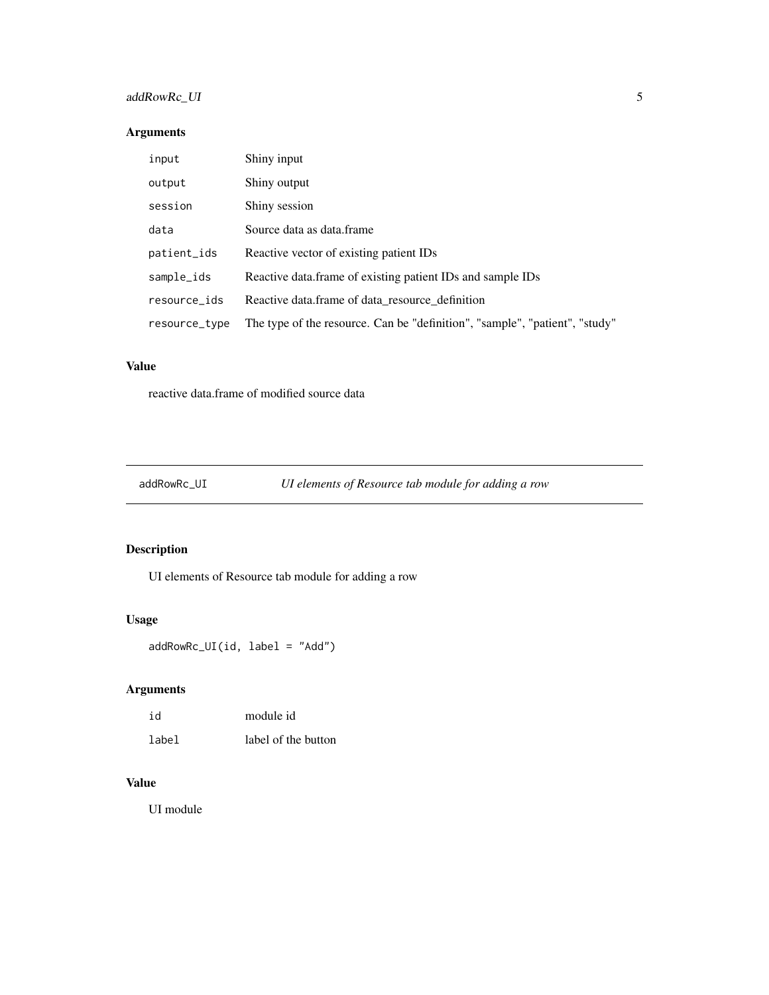## <span id="page-4-0"></span>addRowRc\_UI 5

#### Arguments

| input         | Shiny input                                                                 |
|---------------|-----------------------------------------------------------------------------|
| output        | Shiny output                                                                |
| session       | Shiny session                                                               |
| data          | Source data as data.frame                                                   |
| patient_ids   | Reactive vector of existing patient IDs                                     |
| sample_ids    | Reactive data.frame of existing patient IDs and sample IDs                  |
| resource_ids  | Reactive data frame of data resource definition                             |
| resource_type | The type of the resource. Can be "definition", "sample", "patient", "study" |

#### Value

reactive data.frame of modified source data

addRowRc\_UI *UI elements of Resource tab module for adding a row*

# Description

UI elements of Resource tab module for adding a row

## Usage

addRowRc\_UI(id, label = "Add")

# Arguments

| id    | module id           |
|-------|---------------------|
| label | label of the button |

#### Value

UI module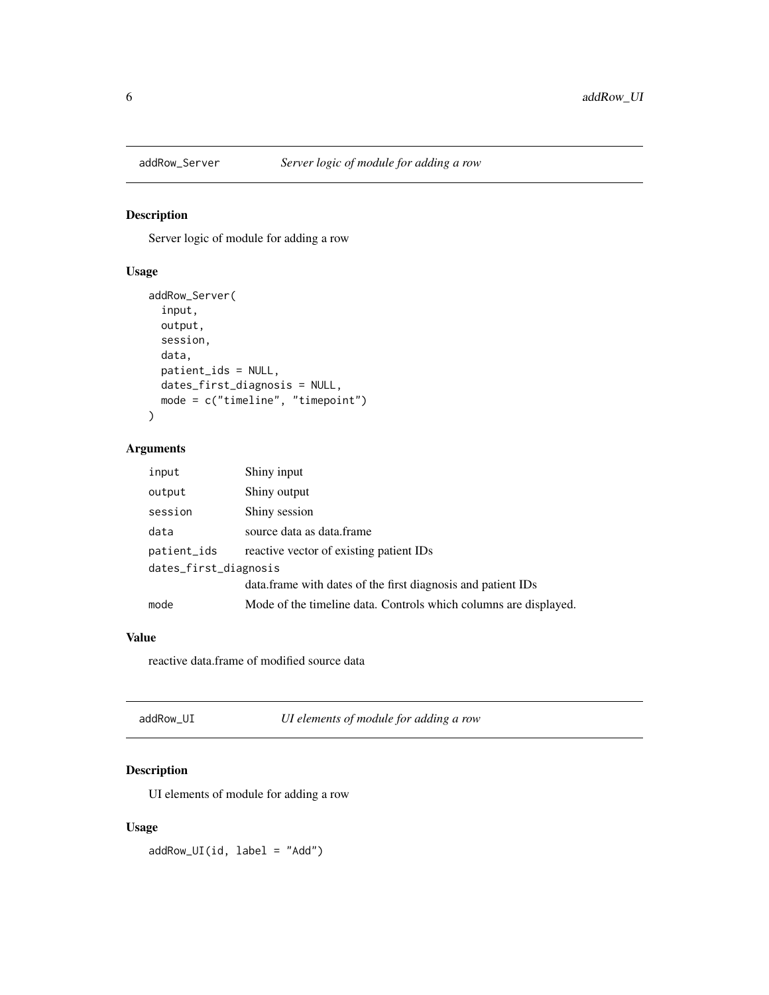Server logic of module for adding a row

#### Usage

```
addRow_Server(
  input,
  output,
  session,
  data,
  patient_ids = NULL,
  dates_first_diagnosis = NULL,
  mode = c("timeline", "timepoint")
\mathcal{L}
```
#### Arguments

| input                 | Shiny input                                                      |  |
|-----------------------|------------------------------------------------------------------|--|
| output                | Shiny output                                                     |  |
| session               | Shiny session                                                    |  |
| data                  | source data as data.frame                                        |  |
| patient_ids           | reactive vector of existing patient IDs                          |  |
| dates_first_diagnosis |                                                                  |  |
|                       | data.frame with dates of the first diagnosis and patient IDs     |  |
| mode                  | Mode of the timeline data. Controls which columns are displayed. |  |

#### Value

reactive data.frame of modified source data

| addRow UI | UI elements of module for adding a row |
|-----------|----------------------------------------|
|           |                                        |

#### Description

UI elements of module for adding a row

#### Usage

addRow\_UI(id, label = "Add")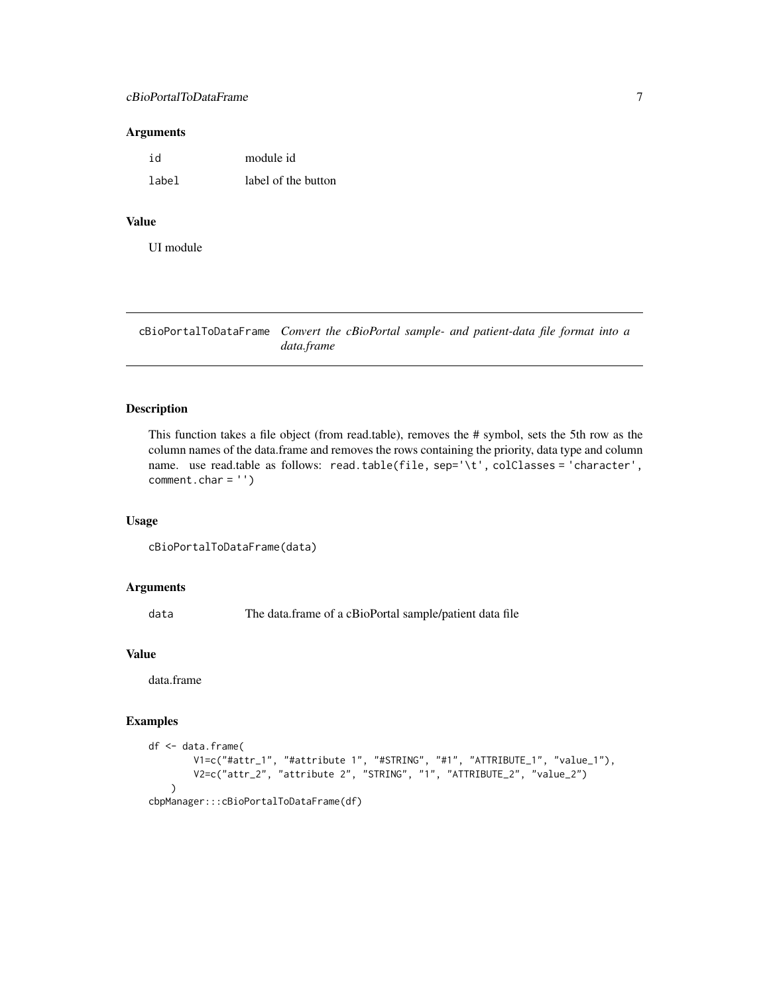#### <span id="page-6-0"></span>cBioPortalToDataFrame 7

#### Arguments

| id    | module id           |
|-------|---------------------|
| label | label of the button |

# Value

UI module

cBioPortalToDataFrame *Convert the cBioPortal sample- and patient-data file format into a data.frame*

#### Description

This function takes a file object (from read.table), removes the # symbol, sets the 5th row as the column names of the data.frame and removes the rows containing the priority, data type and column name. use read.table as follows: read.table(file, sep='\t', colClasses = 'character', comment.char = '')

#### Usage

```
cBioPortalToDataFrame(data)
```
#### Arguments

data The data.frame of a cBioPortal sample/patient data file

#### Value

data.frame

#### Examples

```
df <- data.frame(
        V1=c("#attr_1", "#attribute 1", "#STRING", "#1", "ATTRIBUTE_1", "value_1"),
        V2=c("attr_2", "attribute 2", "STRING", "1", "ATTRIBUTE_2", "value_2")
    \mathcal{L}cbpManager:::cBioPortalToDataFrame(df)
```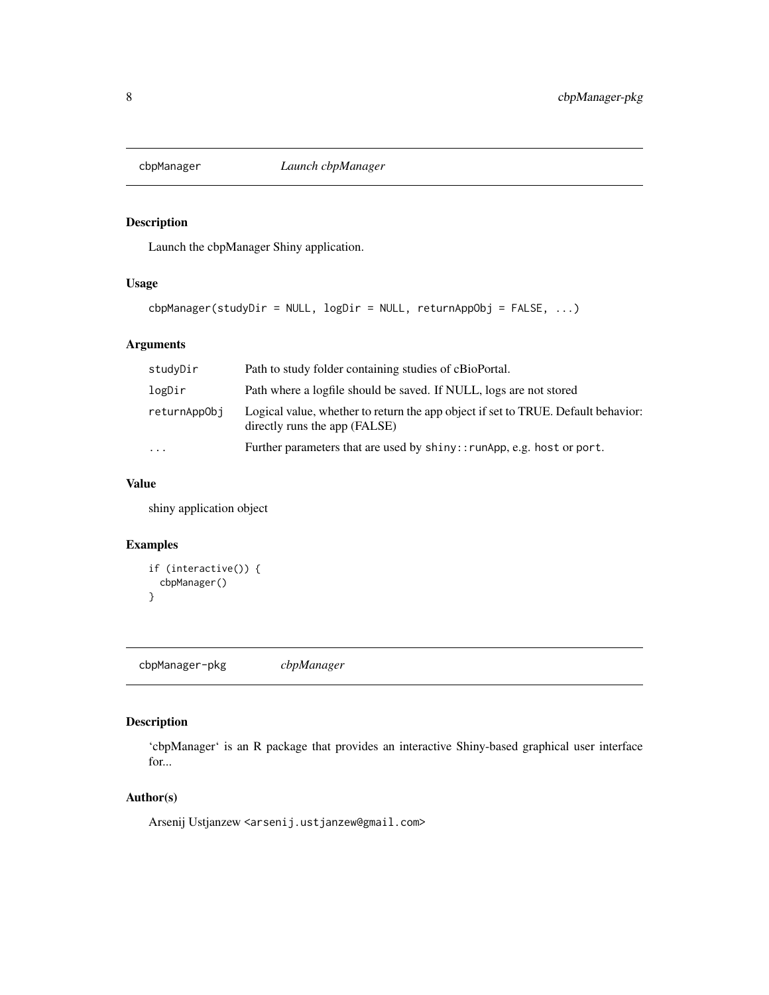<span id="page-7-0"></span>

Launch the cbpManager Shiny application.

## Usage

```
cbpManager(studyDir = NULL, logDir = NULL, returnAppObj = FALSE, ...)
```
#### Arguments

| studyDir     | Path to study folder containing studies of cBioPortal.                                                             |
|--------------|--------------------------------------------------------------------------------------------------------------------|
| logDir       | Path where a logfile should be saved. If NULL, logs are not stored                                                 |
| returnAppObj | Logical value, whether to return the app object if set to TRUE. Default behavior:<br>directly runs the app (FALSE) |
| $\cdots$     | Further parameters that are used by shiny:: runApp, e.g. host or port.                                             |

## Value

shiny application object

#### Examples

```
if (interactive()) {
 cbpManager()
}
```
cbpManager-pkg *cbpManager*

#### Description

'cbpManager' is an R package that provides an interactive Shiny-based graphical user interface for...

#### Author(s)

Arsenij Ustjanzew <arsenij.ustjanzew@gmail.com>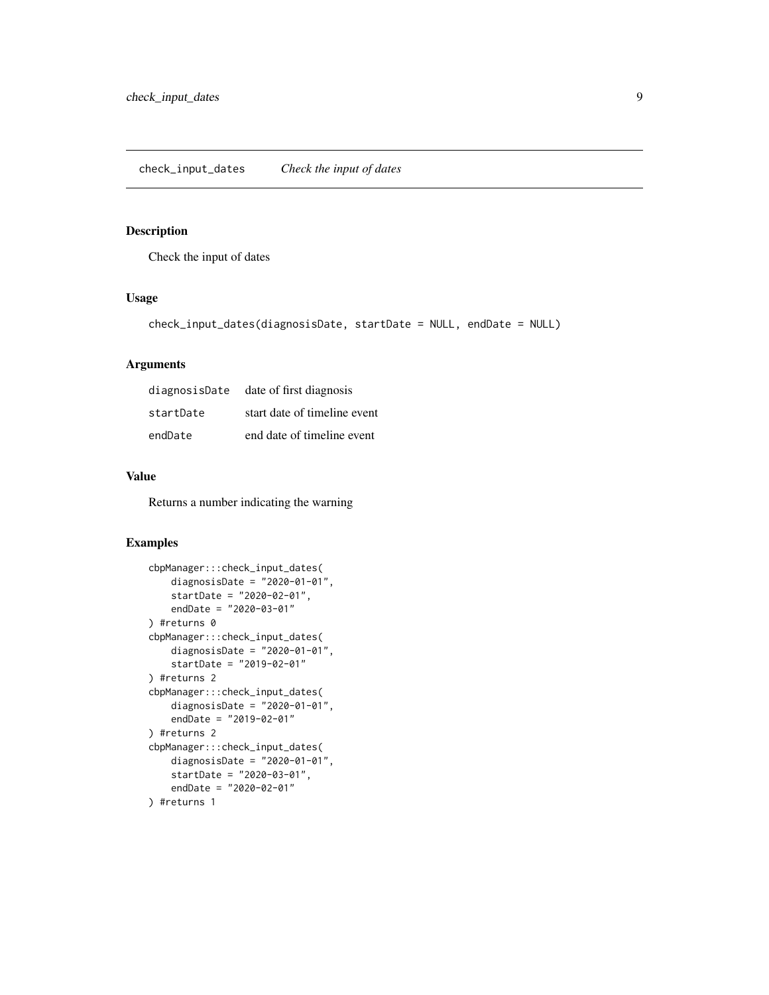<span id="page-8-0"></span>Check the input of dates

#### Usage

```
check_input_dates(diagnosisDate, startDate = NULL, endDate = NULL)
```
#### Arguments

|           | diagnosisDate date of first diagnosis |
|-----------|---------------------------------------|
| startDate | start date of timeline event          |
| endDate   | end date of timeline event            |

#### Value

Returns a number indicating the warning

#### Examples

```
cbpManager:::check_input_dates(
   diagnosisDate = "2020-01-01",
   startDate = "2020-02-01",
   endDate = "2020-03-01"
) #returns 0
cbpManager:::check_input_dates(
   diagnosisDate = "2020-01-01",
   startDate = "2019-02-01"
) #returns 2
cbpManager:::check_input_dates(
   diagnosisDate = "2020-01-01",
   endDate = "2019-02-01"
) #returns 2
cbpManager:::check_input_dates(
   diagnosisDate = "2020-01-01",
   startDate = "2020-03-01",
   endDate = "2020-02-01"
) #returns 1
```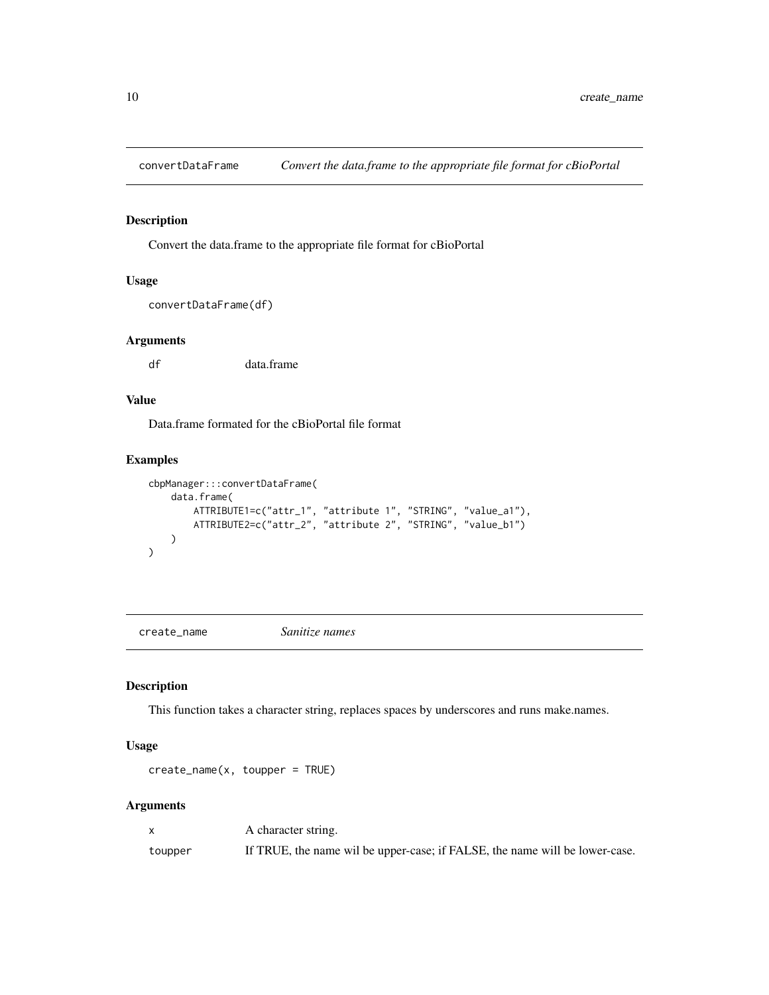<span id="page-9-0"></span>

Convert the data.frame to the appropriate file format for cBioPortal

#### Usage

```
convertDataFrame(df)
```
#### Arguments

df data.frame

#### Value

Data.frame formated for the cBioPortal file format

#### Examples

```
cbpManager:::convertDataFrame(
    data.frame(
        ATTRIBUTE1=c("attr_1", "attribute 1", "STRING", "value_a1"),
        ATTRIBUTE2=c("attr_2", "attribute 2", "STRING", "value_b1")
   )
)
```
create\_name *Sanitize names*

#### Description

This function takes a character string, replaces spaces by underscores and runs make.names.

#### Usage

create\_name(x, toupper = TRUE)

#### Arguments

|         | A character string.                                                          |
|---------|------------------------------------------------------------------------------|
| toupper | If TRUE, the name will be upper-case; if FALSE, the name will be lower-case. |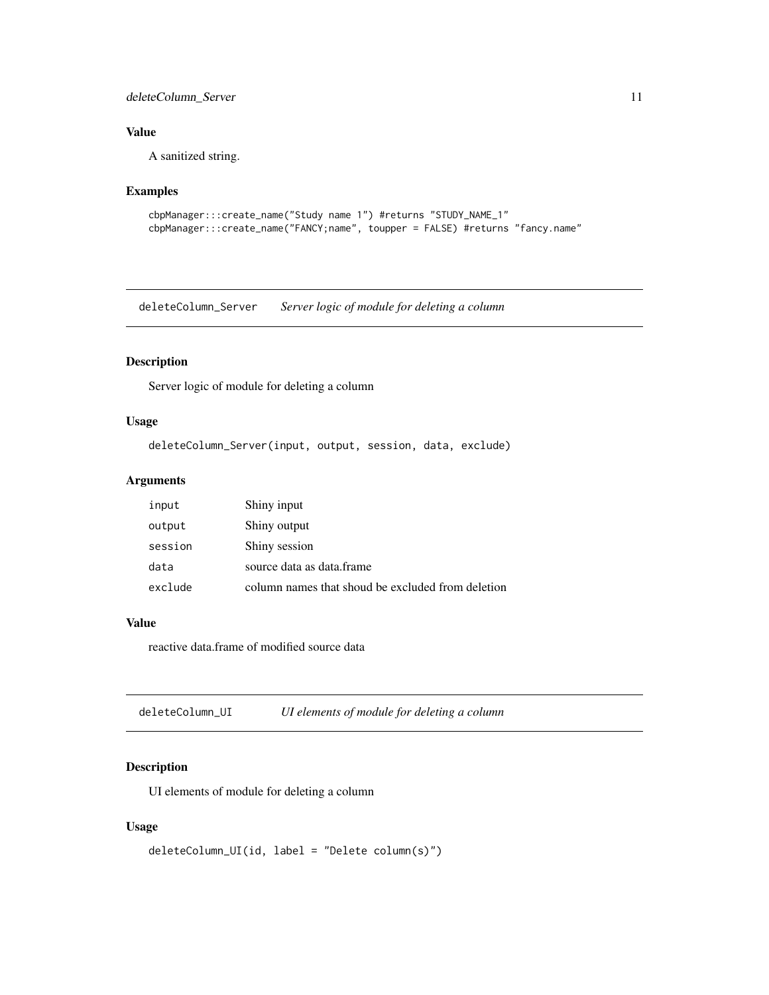#### <span id="page-10-0"></span>deleteColumn\_Server 11

#### Value

A sanitized string.

# Examples

```
cbpManager:::create_name("Study name 1") #returns "STUDY_NAME_1"
cbpManager:::create_name("FANCY;name", toupper = FALSE) #returns "fancy.name"
```
deleteColumn\_Server *Server logic of module for deleting a column*

#### Description

Server logic of module for deleting a column

#### Usage

```
deleteColumn_Server(input, output, session, data, exclude)
```
#### Arguments

| input   | Shiny input                                       |
|---------|---------------------------------------------------|
| output  | Shiny output                                      |
| session | Shiny session                                     |
| data    | source data as data.frame                         |
| exclude | column names that shoud be excluded from deletion |

#### Value

reactive data.frame of modified source data

| deleteColumn_UI | UI elements of module for deleting a column |
|-----------------|---------------------------------------------|
|-----------------|---------------------------------------------|

#### Description

UI elements of module for deleting a column

#### Usage

```
deleteColumn_UI(id, label = "Delete column(s)")
```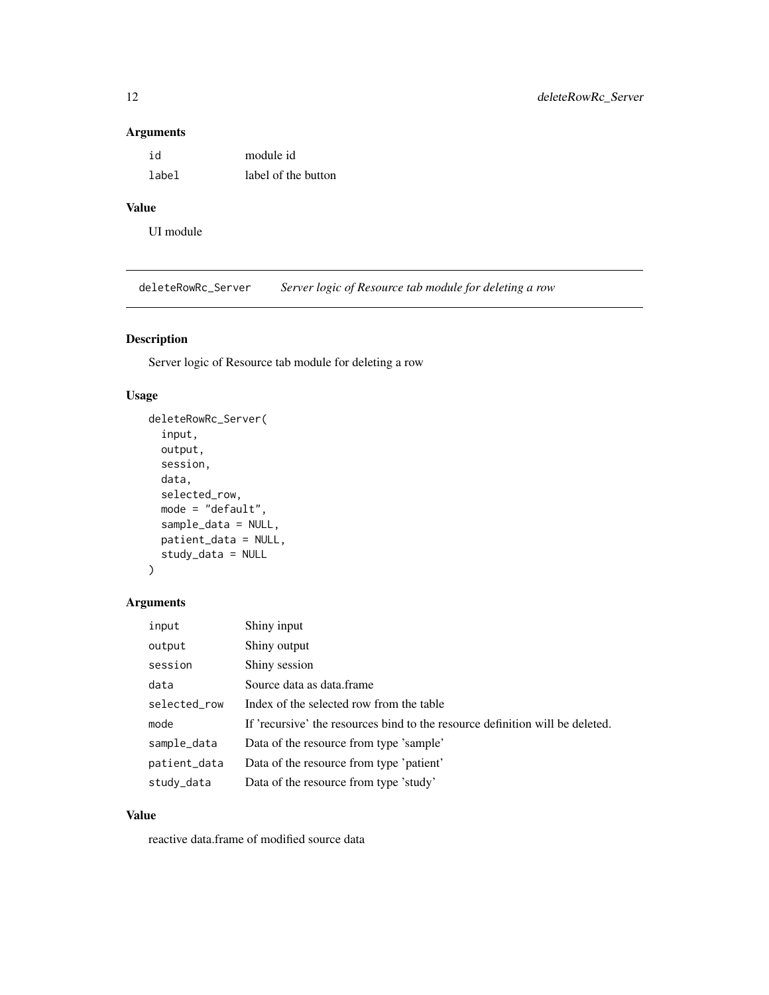#### Arguments

| id    | module id           |
|-------|---------------------|
| label | label of the button |

# Value

UI module

deleteRowRc\_Server *Server logic of Resource tab module for deleting a row*

# Description

Server logic of Resource tab module for deleting a row

#### Usage

```
deleteRowRc_Server(
  input,
 output,
  session,
 data,
  selected_row,
 mode = "default",
  sample_data = NULL,
 patient_data = NULL,
  study_data = NULL
)
```
#### Arguments

| input        | Shiny input                                                                   |
|--------------|-------------------------------------------------------------------------------|
| output       | Shiny output                                                                  |
| session      | Shiny session                                                                 |
| data         | Source data as data.frame                                                     |
| selected_row | Index of the selected row from the table                                      |
| mode         | If 'recursive' the resources bind to the resource definition will be deleted. |
| sample_data  | Data of the resource from type 'sample'                                       |
| patient_data | Data of the resource from type 'patient'                                      |
| study_data   | Data of the resource from type 'study'                                        |

#### Value

reactive data.frame of modified source data

<span id="page-11-0"></span>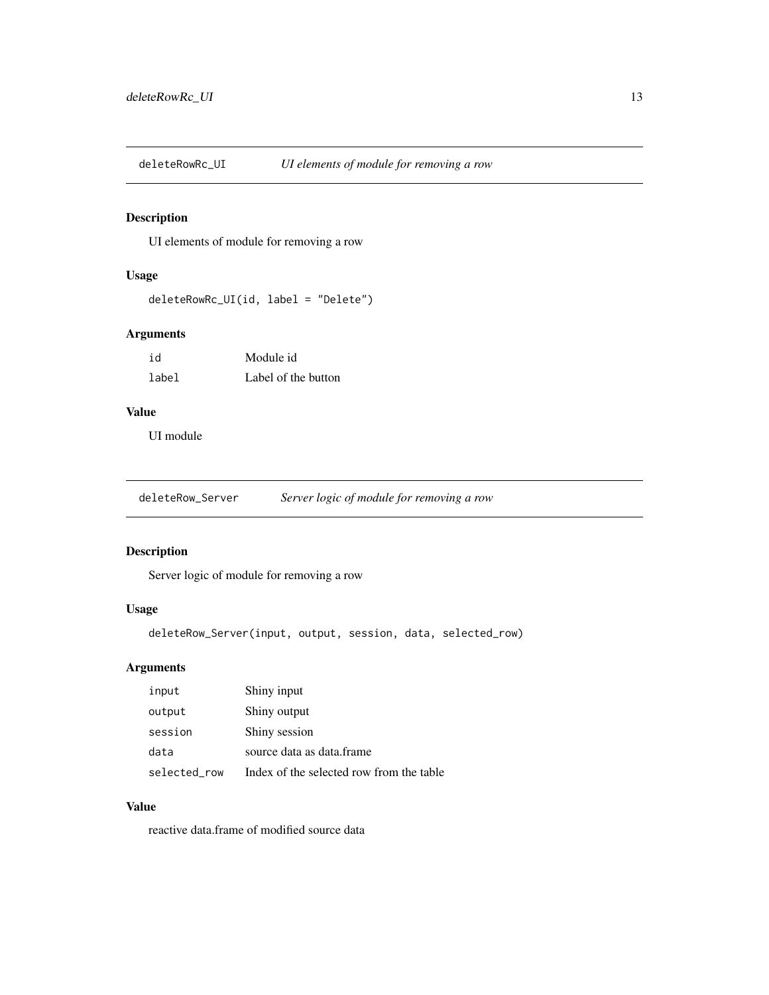<span id="page-12-0"></span>deleteRowRc\_UI *UI elements of module for removing a row*

#### Description

UI elements of module for removing a row

#### Usage

```
deleteRowRc_UI(id, label = "Delete")
```
#### Arguments

| id    | Module id           |
|-------|---------------------|
| label | Label of the button |

#### Value

UI module

deleteRow\_Server *Server logic of module for removing a row*

#### Description

Server logic of module for removing a row

#### Usage

deleteRow\_Server(input, output, session, data, selected\_row)

#### Arguments

| input        | Shiny input                              |
|--------------|------------------------------------------|
| output       | Shiny output                             |
| session      | Shiny session                            |
| data         | source data as data.frame                |
| selected_row | Index of the selected row from the table |

#### Value

reactive data.frame of modified source data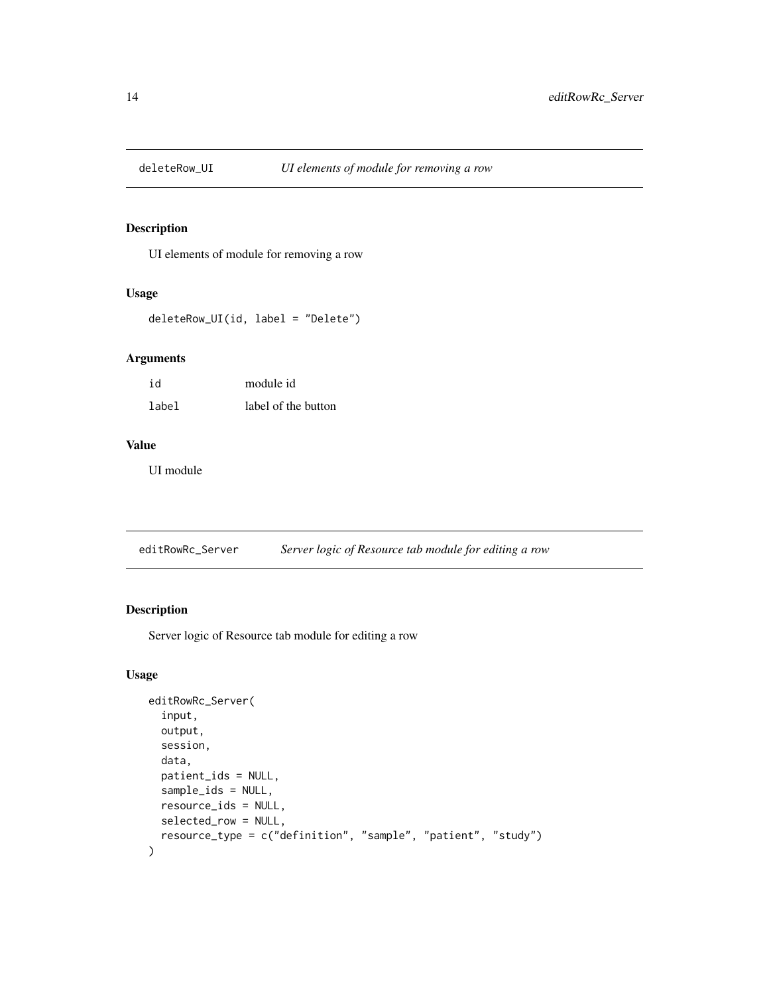<span id="page-13-0"></span>

UI elements of module for removing a row

#### Usage

deleteRow\_UI(id, label = "Delete")

#### Arguments

| id    | module id           |
|-------|---------------------|
| label | label of the button |

#### Value

UI module

| editRowRc_Server | Server logic of Resource tab module for editing a row |  |
|------------------|-------------------------------------------------------|--|
|                  |                                                       |  |

#### Description

Server logic of Resource tab module for editing a row

#### Usage

```
editRowRc_Server(
  input,
 output,
  session,
 data,
 patient_ids = NULL,
 sample_ids = NULL,
 resource_ids = NULL,
  selected_row = NULL,
  resource_type = c("definition", "sample", "patient", "study")
\mathcal{L}
```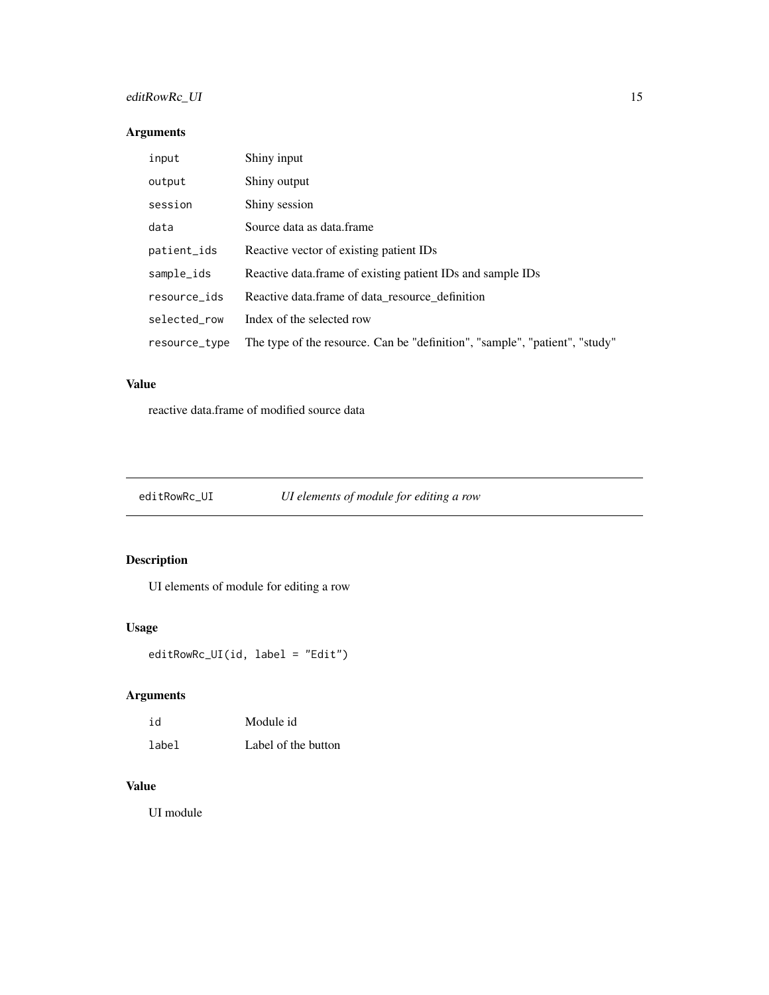## <span id="page-14-0"></span>editRowRc\_UI 15

#### Arguments

| input         | Shiny input                                                                 |
|---------------|-----------------------------------------------------------------------------|
| output        | Shiny output                                                                |
| session       | Shiny session                                                               |
| data          | Source data as data.frame                                                   |
| patient_ids   | Reactive vector of existing patient IDs                                     |
| sample_ids    | Reactive data.frame of existing patient IDs and sample IDs                  |
| resource_ids  | Reactive data.frame of data_resource_definition                             |
| selected row  | Index of the selected row                                                   |
| resource_type | The type of the resource. Can be "definition", "sample", "patient", "study" |

#### Value

reactive data.frame of modified source data

editRowRc\_UI *UI elements of module for editing a row*

# Description

UI elements of module for editing a row

#### Usage

editRowRc\_UI(id, label = "Edit")

# Arguments

| id    | Module id           |
|-------|---------------------|
| label | Label of the button |

#### Value

UI module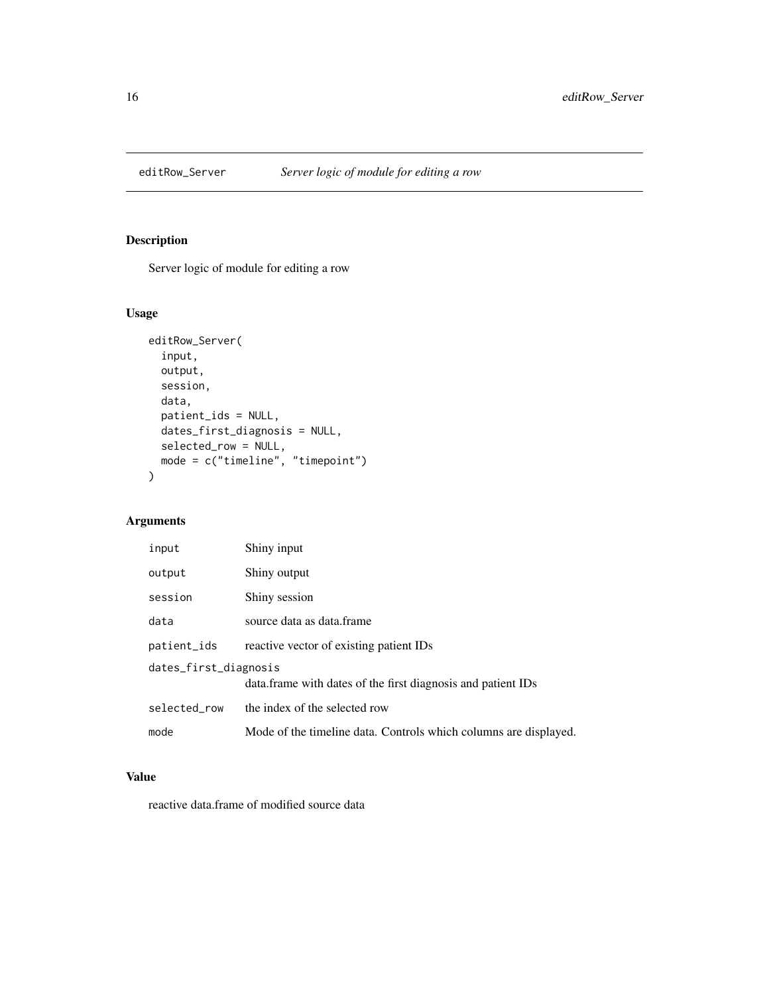<span id="page-15-0"></span>

Server logic of module for editing a row

#### Usage

```
editRow_Server(
  input,
  output,
  session,
  data,
  patient_ids = NULL,
  dates_first_diagnosis = NULL,
  selected_row = NULL,
 mode = c("timeline", "timepoint")\mathcal{L}
```
#### Arguments

| input                 | Shiny input                                                      |  |
|-----------------------|------------------------------------------------------------------|--|
| output                | Shiny output                                                     |  |
| session               | Shiny session                                                    |  |
| data                  | source data as data.frame                                        |  |
| patient_ids           | reactive vector of existing patient IDs                          |  |
| dates_first_diagnosis |                                                                  |  |
|                       | data. frame with dates of the first diagnosis and patient IDs    |  |
| selected_row          | the index of the selected row                                    |  |
| mode                  | Mode of the timeline data. Controls which columns are displayed. |  |

#### Value

reactive data.frame of modified source data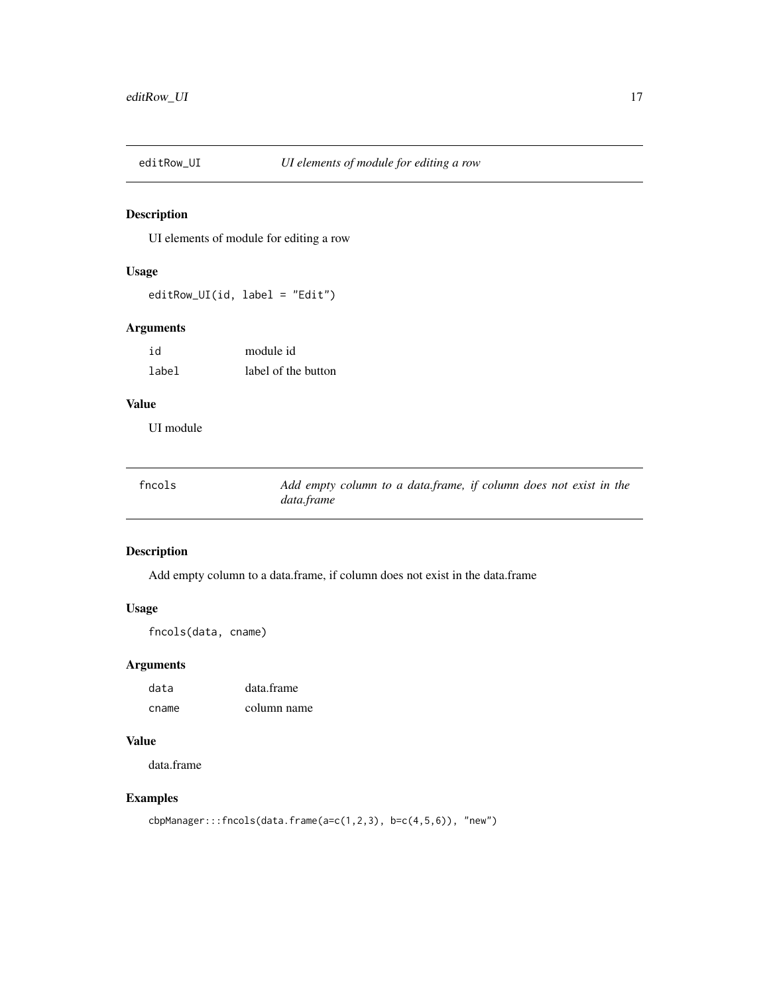<span id="page-16-0"></span>

UI elements of module for editing a row

#### Usage

editRow\_UI(id, label = "Edit")

## Arguments

| id    | module id           |
|-------|---------------------|
| label | label of the button |

### Value

UI module

| fncols | Add empty column to a data.frame, if column does not exist in the |  |  |  |
|--------|-------------------------------------------------------------------|--|--|--|
|        | data.frame                                                        |  |  |  |

#### Description

Add empty column to a data.frame, if column does not exist in the data.frame

# Usage

fncols(data, cname)

#### Arguments

| data  | data.frame  |
|-------|-------------|
| cname | column name |

#### Value

data.frame

## Examples

 $cbpManager:::fncols(data,frame(a=c(1,2,3), b=c(4,5,6)), "new")$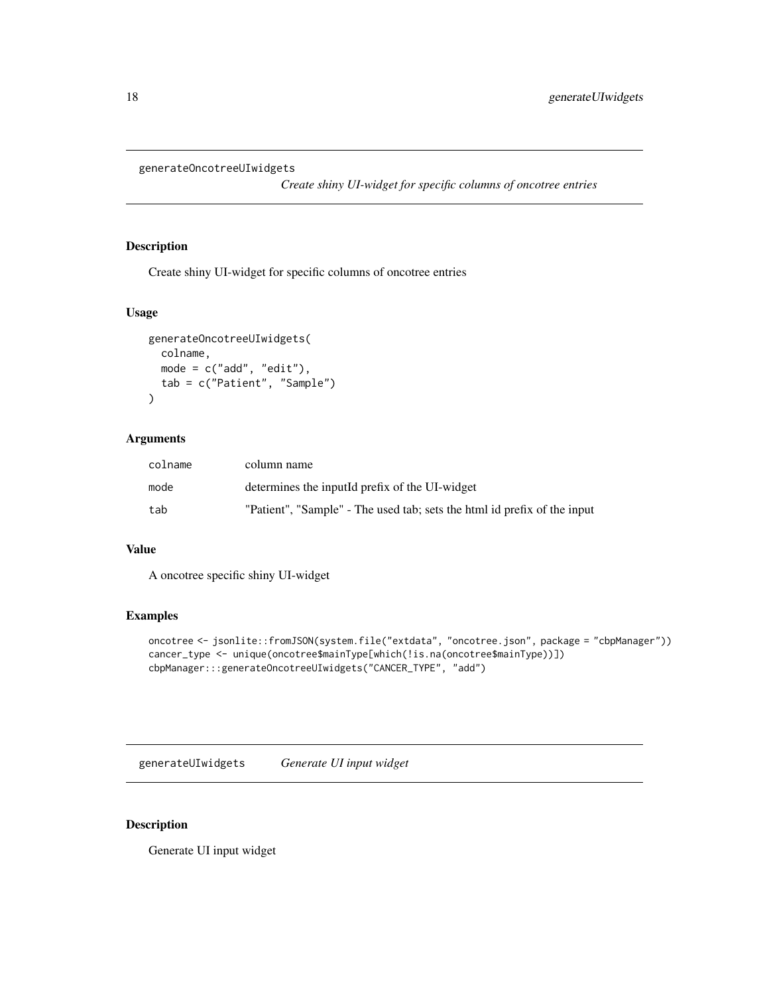```
generateOncotreeUIwidgets
```
*Create shiny UI-widget for specific columns of oncotree entries*

#### Description

Create shiny UI-widget for specific columns of oncotree entries

#### Usage

```
generateOncotreeUIwidgets(
 colname,
 mode = c("add", "edit"),tab = c("Patient", "Sample")
)
```
#### Arguments

| colname | column name                                                              |
|---------|--------------------------------------------------------------------------|
| mode    | determines the inputed prefix of the UI-widget                           |
| tab     | "Patient", "Sample" - The used tab; sets the html id prefix of the input |

#### Value

A oncotree specific shiny UI-widget

#### Examples

```
oncotree <- jsonlite::fromJSON(system.file("extdata", "oncotree.json", package = "cbpManager"))
cancer_type <- unique(oncotree$mainType[which(!is.na(oncotree$mainType))])
cbpManager:::generateOncotreeUIwidgets("CANCER_TYPE", "add")
```
generateUIwidgets *Generate UI input widget*

#### Description

Generate UI input widget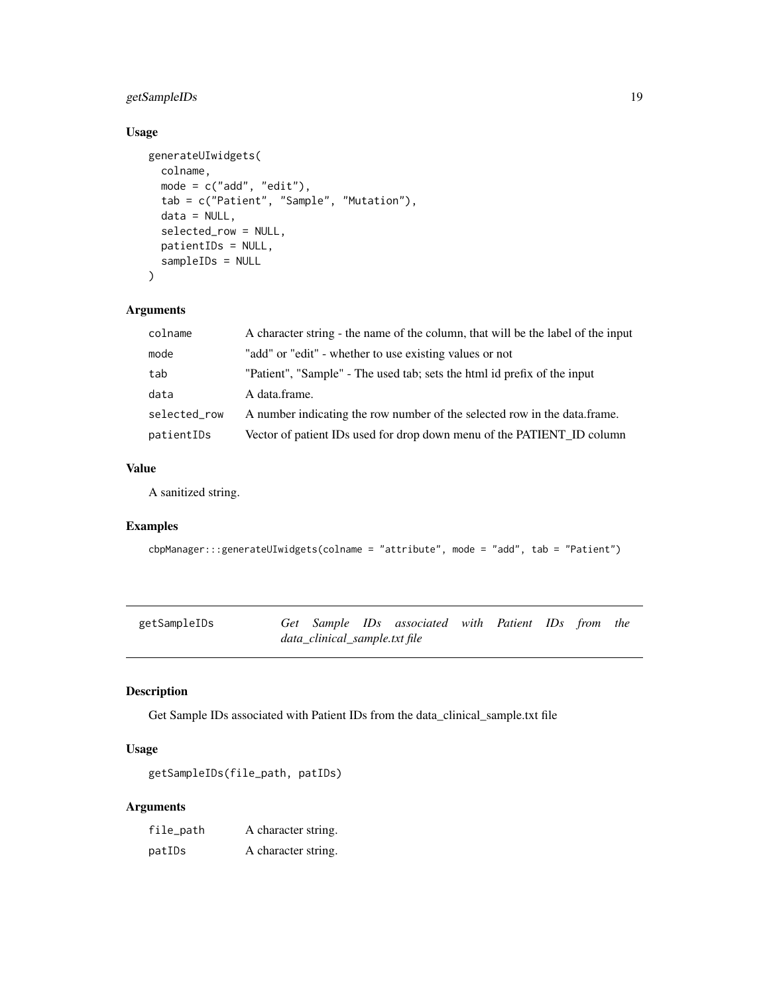# <span id="page-18-0"></span>getSampleIDs 19

# Usage

```
generateUIwidgets(
  colname,
  mode = c("add", "edit"),tab = c("Patient", "Sample", "Mutation"),
  data = NULL,selected_row = NULL,
  patientIDs = NULL,
  sampleIDs = NULL
\mathcal{L}
```
#### Arguments

| colname      | A character string - the name of the column, that will be the label of the input |
|--------------|----------------------------------------------------------------------------------|
| mode         | "add" or "edit" - whether to use existing values or not                          |
| tab          | "Patient", "Sample" - The used tab; sets the html id prefix of the input         |
| data         | A data.frame.                                                                    |
| selected_row | A number indicating the row number of the selected row in the data. frame.       |
| patientIDs   | Vector of patient IDs used for drop down menu of the PATIENT_ID column           |

#### Value

A sanitized string.

#### Examples

```
cbpManager:::generateUIwidgets(colname = "attribute", mode = "add", tab = "Patient")
```

| getSampleIDs |                               | Get Sample IDs associated with Patient IDs from the |  |  |  |
|--------------|-------------------------------|-----------------------------------------------------|--|--|--|
|              | data_clinical_sample.txt file |                                                     |  |  |  |

# Description

Get Sample IDs associated with Patient IDs from the data\_clinical\_sample.txt file

#### Usage

getSampleIDs(file\_path, patIDs)

#### Arguments

| file_path | A character string. |
|-----------|---------------------|
| patIDs    | A character string. |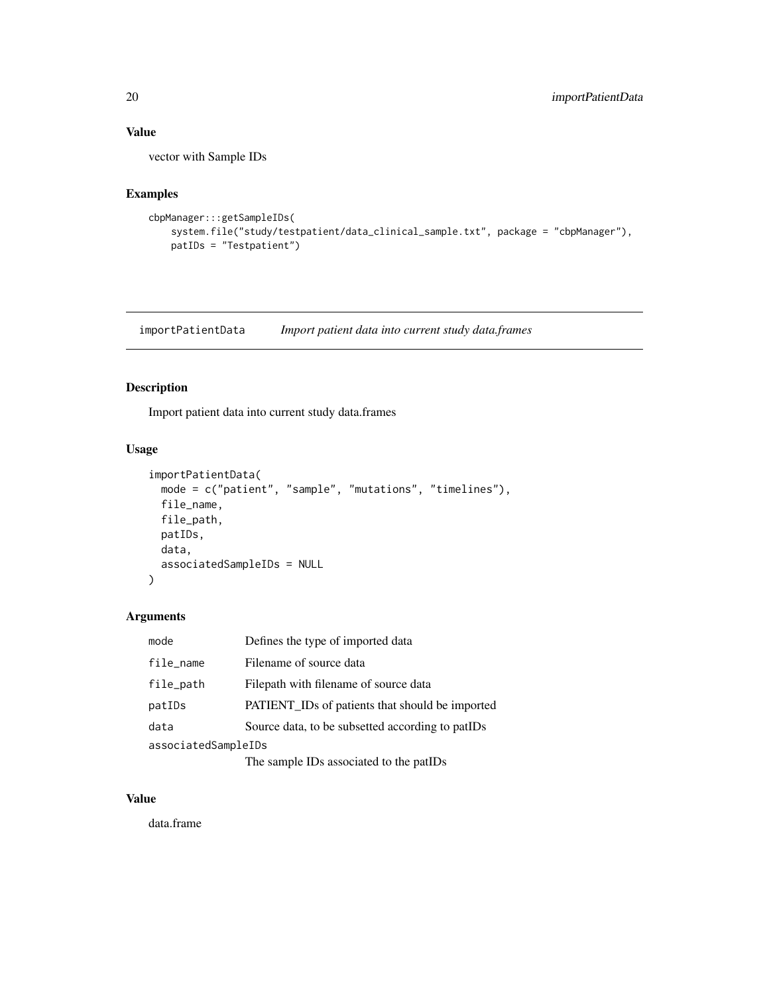#### <span id="page-19-0"></span>Value

vector with Sample IDs

#### Examples

```
cbpManager:::getSampleIDs(
    system.file("study/testpatient/data_clinical_sample.txt", package = "cbpManager"),
   patIDs = "Testpatient")
```
importPatientData *Import patient data into current study data.frames*

#### Description

Import patient data into current study data.frames

## Usage

```
importPatientData(
 mode = c("patient", "sample", "mutations", "timelines"),
 file_name,
 file_path,
 patIDs,
 data,
 associatedSampleIDs = NULL
\mathcal{E}
```
#### Arguments

| mode                | Defines the type of imported data                |
|---------------------|--------------------------------------------------|
| file_name           | Filename of source data                          |
| file_path           | Filepath with filename of source data            |
| patIDs              | PATIENT_IDs of patients that should be imported  |
| data                | Source data, to be subsetted according to patIDs |
| associatedSampleIDs |                                                  |

The sample IDs associated to the patIDs

#### Value

data.frame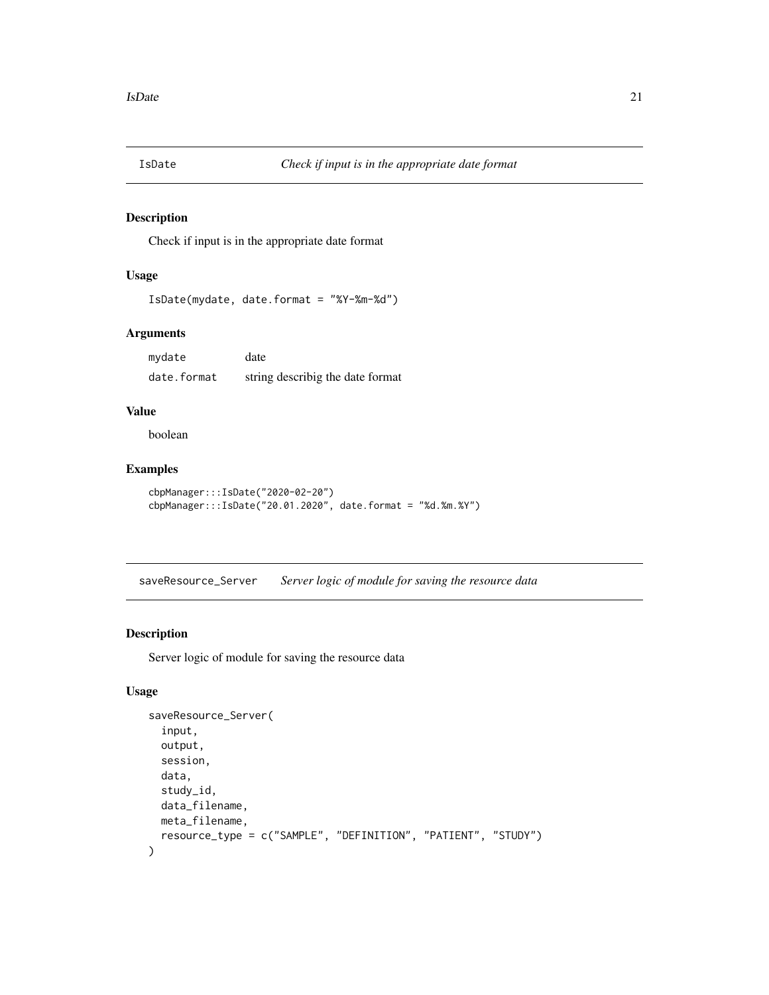<span id="page-20-0"></span>

Check if input is in the appropriate date format

#### Usage

```
IsDate(mydate, date.format = "%Y-%m-%d")
```
#### Arguments

mydate date date.format string describig the date format

#### Value

boolean

#### Examples

```
cbpManager:::IsDate("2020-02-20")
cbpManager:::IsDate("20.01.2020", date.format = "%d.%m.%Y")
```
saveResource\_Server *Server logic of module for saving the resource data*

#### Description

Server logic of module for saving the resource data

#### Usage

```
saveResource_Server(
  input,
 output,
 session,
  data,
 study_id,
 data_filename,
 meta_filename,
  resource_type = c("SAMPLE", "DEFINITION", "PATIENT", "STUDY")
)
```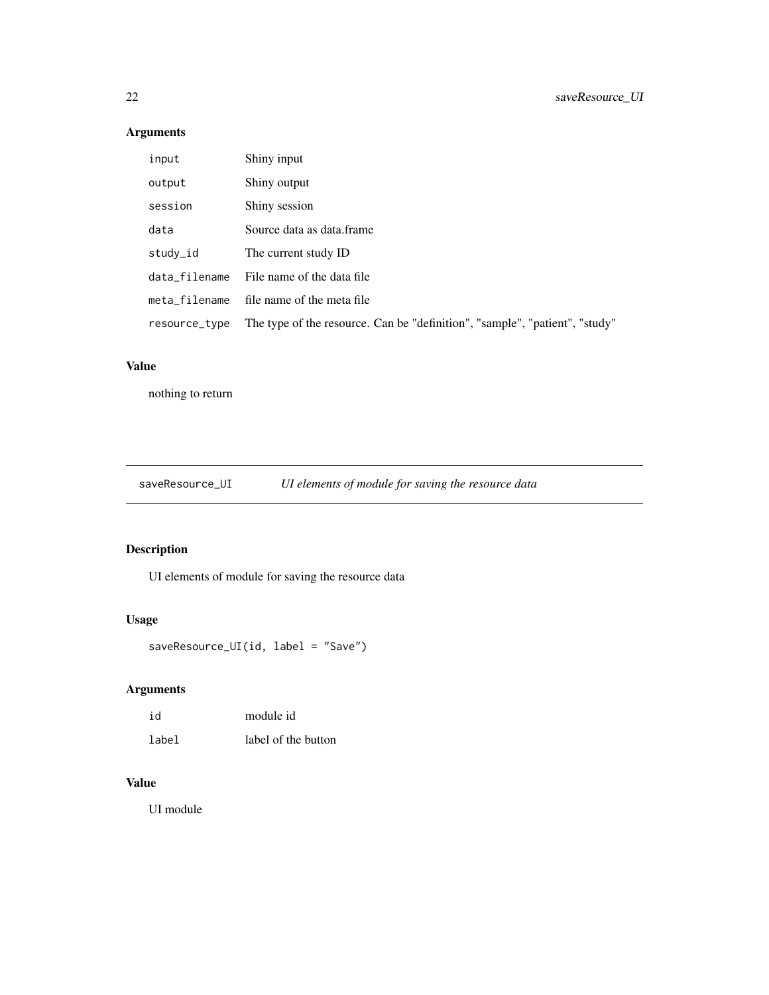# <span id="page-21-0"></span>Arguments

| input         | Shiny input                                                                 |
|---------------|-----------------------------------------------------------------------------|
| output        | Shiny output                                                                |
| session       | Shiny session                                                               |
| data          | Source data as data.frame                                                   |
| study_id      | The current study ID                                                        |
| data_filename | File name of the data file                                                  |
| meta_filename | file name of the meta file                                                  |
| resource_type | The type of the resource. Can be "definition", "sample", "patient", "study" |

#### Value

nothing to return

| saveResource_UI |  | UI elements of module for saving the resource data |
|-----------------|--|----------------------------------------------------|
|-----------------|--|----------------------------------------------------|

# Description

UI elements of module for saving the resource data

# Usage

saveResource\_UI(id, label = "Save")

# Arguments

| id    | module id           |
|-------|---------------------|
| label | label of the button |

# Value

UI module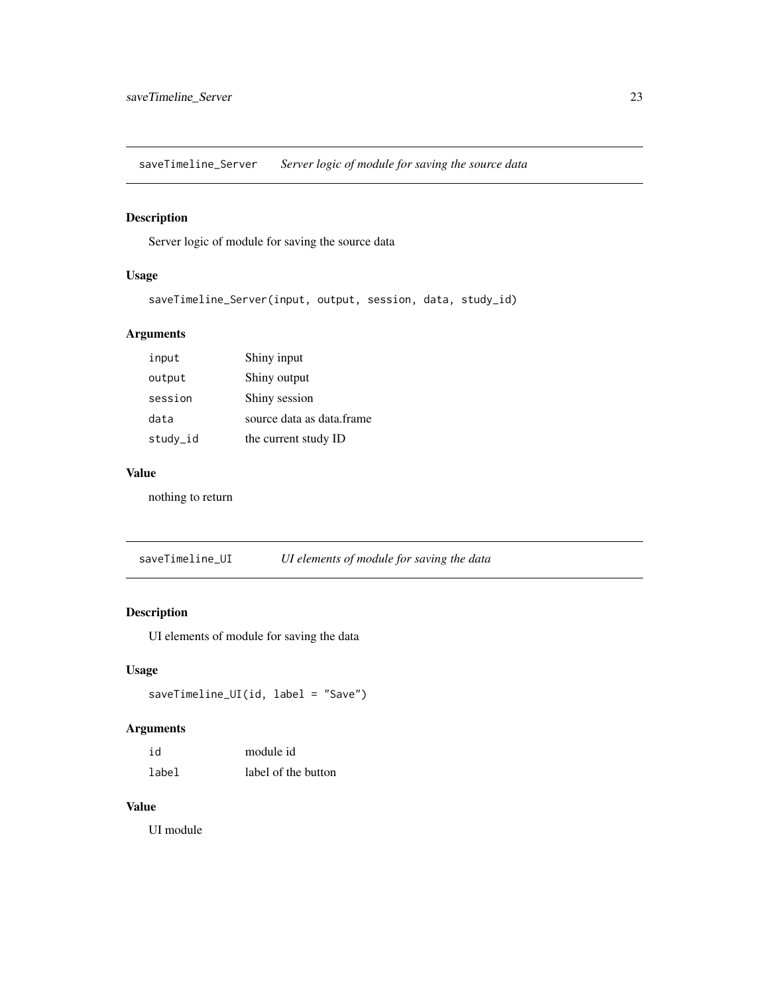<span id="page-22-0"></span>saveTimeline\_Server *Server logic of module for saving the source data*

#### Description

Server logic of module for saving the source data

#### Usage

saveTimeline\_Server(input, output, session, data, study\_id)

#### Arguments

| input    | Shiny input               |
|----------|---------------------------|
| output   | Shiny output              |
| session  | Shiny session             |
| data     | source data as data frame |
| study_id | the current study ID      |

#### Value

nothing to return

saveTimeline\_UI *UI elements of module for saving the data*

#### Description

UI elements of module for saving the data

#### Usage

saveTimeline\_UI(id, label = "Save")

#### Arguments

| id    | module id           |
|-------|---------------------|
| label | label of the button |

#### Value

UI module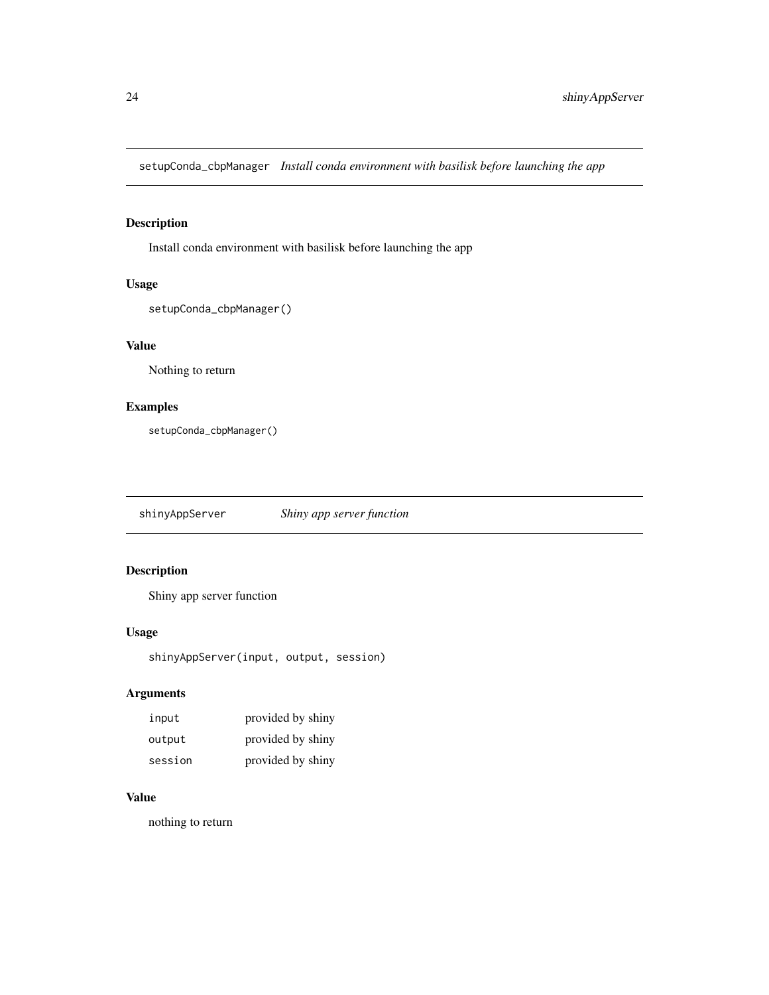<span id="page-23-0"></span>setupConda\_cbpManager *Install conda environment with basilisk before launching the app*

#### Description

Install conda environment with basilisk before launching the app

#### Usage

```
setupConda_cbpManager()
```
#### Value

Nothing to return

#### Examples

setupConda\_cbpManager()

shinyAppServer *Shiny app server function*

#### Description

Shiny app server function

#### Usage

```
shinyAppServer(input, output, session)
```
#### Arguments

| input   | provided by shiny |
|---------|-------------------|
| output  | provided by shiny |
| session | provided by shiny |

#### Value

nothing to return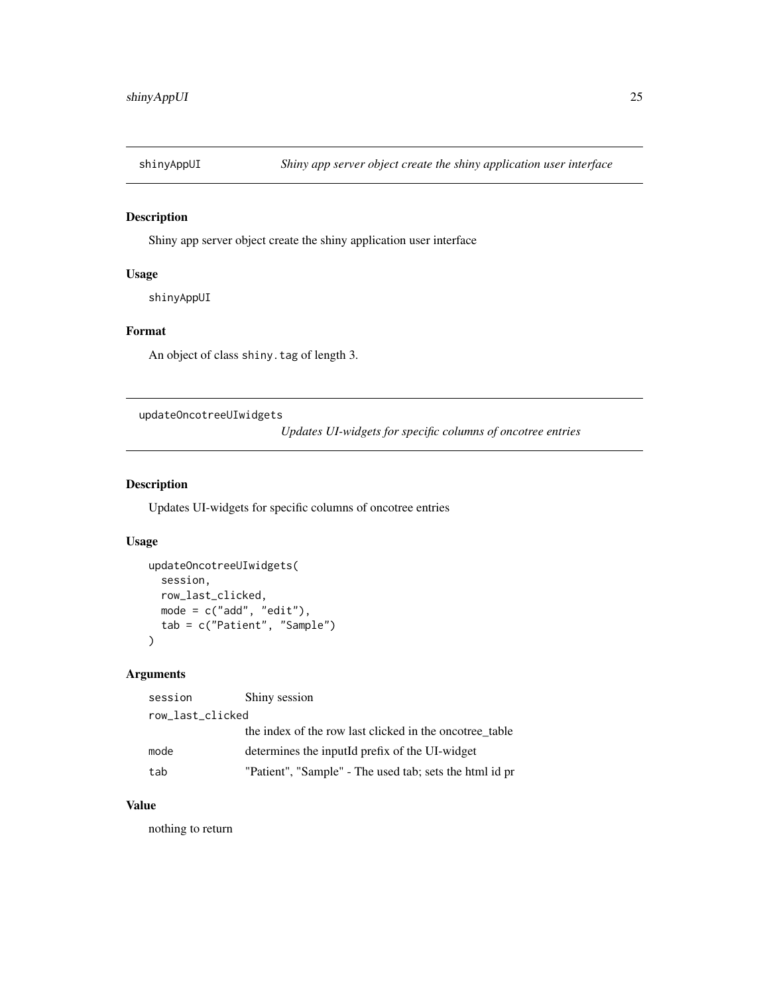<span id="page-24-0"></span>

Shiny app server object create the shiny application user interface

#### Usage

shinyAppUI

# Format

An object of class shiny.tag of length 3.

updateOncotreeUIwidgets

*Updates UI-widgets for specific columns of oncotree entries*

#### Description

Updates UI-widgets for specific columns of oncotree entries

#### Usage

```
updateOncotreeUIwidgets(
 session,
 row_last_clicked,
 mode = c("add", "edit"),tab = c("Patient", "Sample")
)
```
#### Arguments

| session          | Shiny session                                           |  |
|------------------|---------------------------------------------------------|--|
| row_last_clicked |                                                         |  |
|                  | the index of the row last clicked in the oncotree table |  |
| mode             | determines the inputed prefix of the UI-widget          |  |
| tab              | "Patient", "Sample" - The used tab; sets the html id pr |  |

#### Value

nothing to return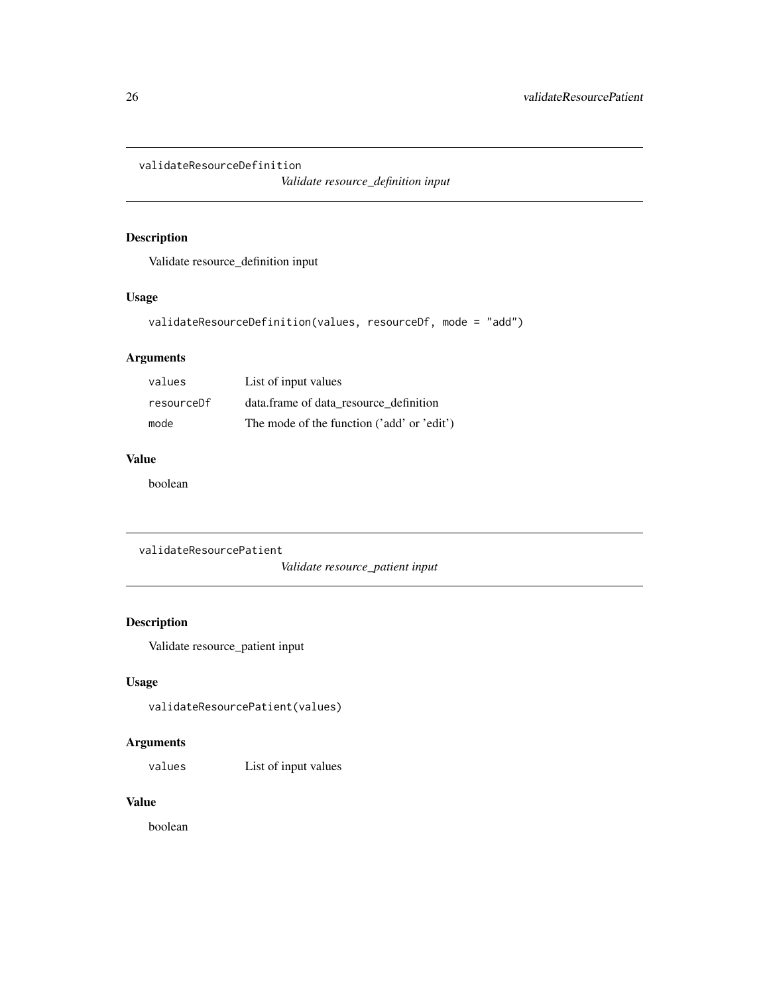<span id="page-25-0"></span>validateResourceDefinition

*Validate resource\_definition input*

#### Description

Validate resource\_definition input

#### Usage

```
validateResourceDefinition(values, resourceDf, mode = "add")
```
#### Arguments

| values     | List of input values                       |
|------------|--------------------------------------------|
| resourceDf | data.frame of data resource definition     |
| mode       | The mode of the function ('add' or 'edit') |

## Value

boolean

```
validateResourcePatient
```
*Validate resource\_patient input*

#### Description

Validate resource\_patient input

#### Usage

validateResourcePatient(values)

# Arguments

values List of input values

## Value

boolean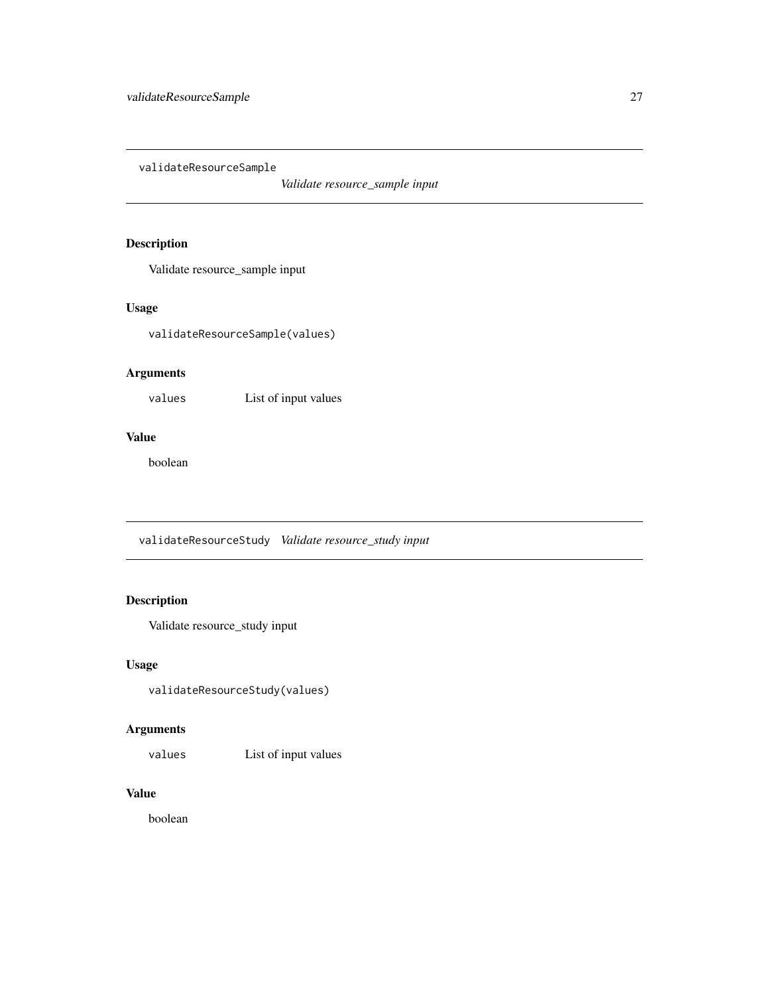<span id="page-26-0"></span>validateResourceSample

*Validate resource\_sample input*

## Description

Validate resource\_sample input

#### Usage

validateResourceSample(values)

## Arguments

values List of input values

#### Value

boolean

validateResourceStudy *Validate resource\_study input*

#### Description

Validate resource\_study input

#### Usage

```
validateResourceStudy(values)
```
#### Arguments

values List of input values

#### Value

boolean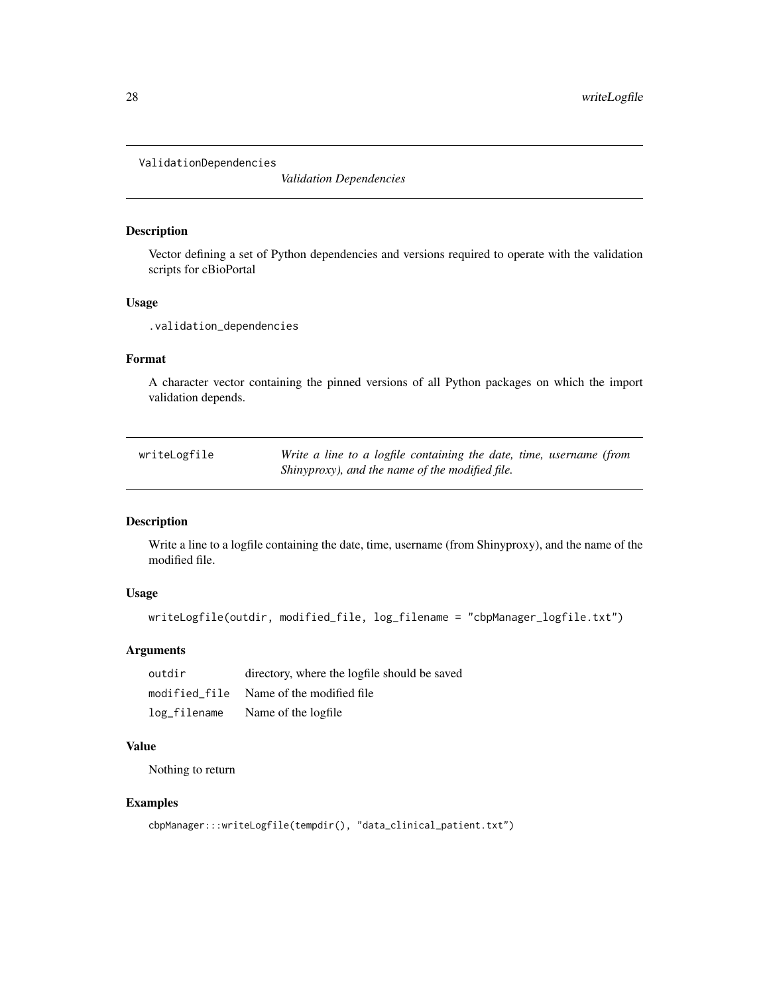<span id="page-27-0"></span>ValidationDependencies

*Validation Dependencies*

#### Description

Vector defining a set of Python dependencies and versions required to operate with the validation scripts for cBioPortal

#### Usage

.validation\_dependencies

#### Format

A character vector containing the pinned versions of all Python packages on which the import validation depends.

| writeLogfile | Write a line to a logfile containing the date, time, username (from |
|--------------|---------------------------------------------------------------------|
|              | Shinyproxy), and the name of the modified file.                     |

#### Description

Write a line to a logfile containing the date, time, username (from Shinyproxy), and the name of the modified file.

#### Usage

```
writeLogfile(outdir, modified_file, log_filename = "cbpManager_logfile.txt")
```
# Arguments

| outdir       | directory, where the logfile should be saved |
|--------------|----------------------------------------------|
|              | modified file Name of the modified file      |
| log_filename | Name of the logfile                          |

#### Value

Nothing to return

#### Examples

```
cbpManager:::writeLogfile(tempdir(), "data_clinical_patient.txt")
```